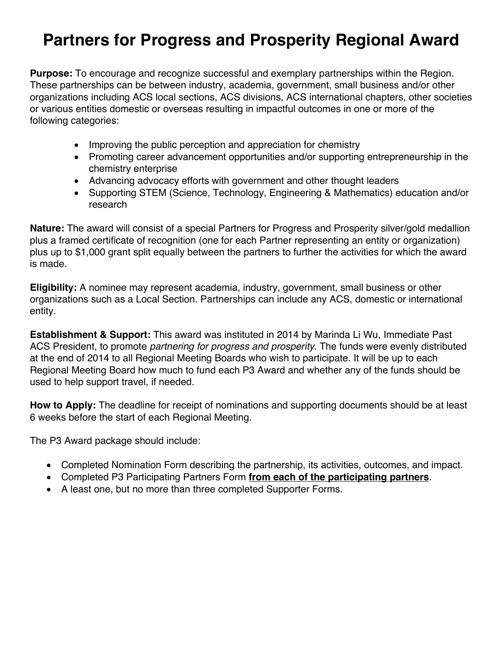# **Partners for Progress and Prosperity Regional Award**

**Purpose:** To encourage and recognize successful and exemplary partnerships within the Region. These partnerships can be between industry, academia, government, small business and/or other organizations including ACS local sections, ACS divisions, ACS international chapters, other societies or various entities domestic or overseas resulting in impactful outcomes in one or more of the following categories:

- Improving the public perception and appreciation for chemistry
- Promoting career advancement opportunities and/or supporting entrepreneurship in the chemistry enterprise
- Advancing advocacy efforts with government and other thought leaders
- Supporting STEM (Science, Technology, Engineering & Mathematics) education and/or research

**Nature:** The award will consist of a special Partners for Progress and Prosperity silver/gold medallion plus a framed certificate of recognition (one for each Partner representing an entity or organization) plus up to \$1,000 grant split equally between the partners to further the activities for which the award is made.

**Eligibility:** A nominee may represent academia, industry, government, small business or other organizations such as a Local Section. Partnerships can include any ACS, domestic or international entity.

**Establishment & Support:** This award was instituted in 2014 by Marinda Li Wu, Immediate Past ACS President, to promote *partnering for progress and prosperity*. The funds were evenly distributed at the end of 2014 to all Regional Meeting Boards who wish to participate. It will be up to each Regional Meeting Board how much to fund each P3 Award and whether any of the funds should be used to help support travel, if needed.

**How to Apply:** The deadline for receipt of nominations and supporting documents should be at least 6 weeks before the start of each Regional Meeting.

The P3 Award package should include:

- Completed Nomination Form describing the partnership, its activities, outcomes, and impact.
- Completed P3 Participating Partners Form **from each of the participating partners**.
- A least one, but no more than three completed Supporter Forms.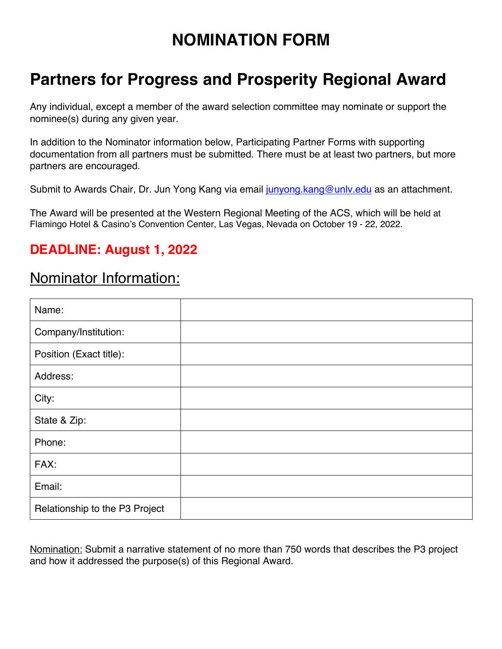## **NOMINATION FORM**

## **Partners for Progress and Prosperity Regional Award**

Any individual, except a member of the award selection committee may nominate or support the nominee(s) during any given year.

In addition to the Nominator information below, Participating Partner Forms with supporting documentation from all partners must be submitted. There must be at least two partners, but more partners are encouraged.

Submit to Awards Chair, Dr. Jun Yong Kang via email junyong kang@unly.edu as an attachment.

The Award will be presented at the Western Regional Meeting of the ACS, which will be held at Flamingo Hotel & Casino's Convention Center, Las Vegas, Nevada on October 19 - 22, 2022.

#### **DEADLINE: August 1, 2022**

#### Nominator Information:

| Name:                          |  |
|--------------------------------|--|
| Company/Institution:           |  |
| Position (Exact title):        |  |
| Address:                       |  |
| City:                          |  |
| State & Zip:                   |  |
| Phone:                         |  |
| FAX:                           |  |
| Email:                         |  |
| Relationship to the P3 Project |  |

Nomination: Submit a narrative statement of no more than 750 words that describes the P3 project and how it addressed the purpose(s) of this Regional Award.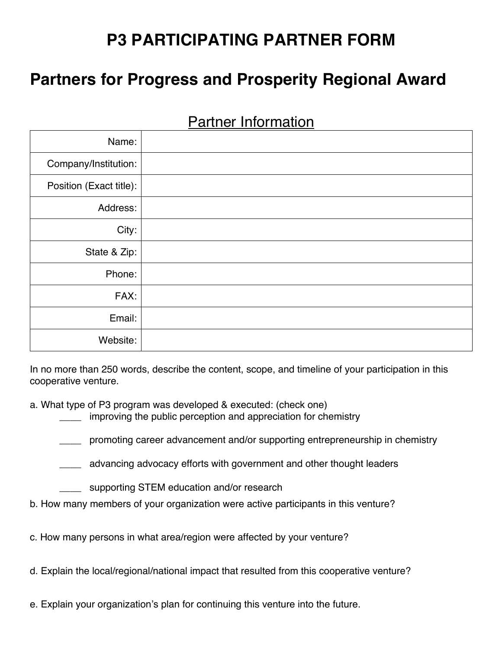# **P3 PARTICIPATING PARTNER FORM**

## **Partners for Progress and Prosperity Regional Award**

| Name:                   |  |
|-------------------------|--|
| Company/Institution:    |  |
| Position (Exact title): |  |
| Address:                |  |
| City:                   |  |
| State & Zip:            |  |
| Phone:                  |  |
| FAX:                    |  |
| Email:                  |  |
| Website:                |  |

Partner Information

In no more than 250 words, describe the content, scope, and timeline of your participation in this cooperative venture.

a. What type of P3 program was developed & executed: (check one)

improving the public perception and appreciation for chemistry

\_\_\_\_ promoting career advancement and/or supporting entrepreneurship in chemistry

\_\_\_\_ advancing advocacy efforts with government and other thought leaders

supporting STEM education and/or research

b. How many members of your organization were active participants in this venture?

c. How many persons in what area/region were affected by your venture?

d. Explain the local/regional/national impact that resulted from this cooperative venture?

e. Explain your organization's plan for continuing this venture into the future.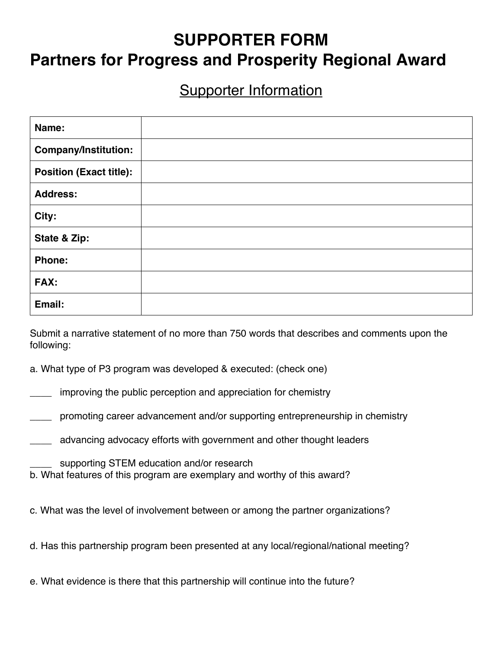## **SUPPORTER FORM Partners for Progress and Prosperity Regional Award**

#### **Supporter Information**

| Name:                          |  |
|--------------------------------|--|
| <b>Company/Institution:</b>    |  |
| <b>Position (Exact title):</b> |  |
| <b>Address:</b>                |  |
| City:                          |  |
| State & Zip:                   |  |
| <b>Phone:</b>                  |  |
| FAX:                           |  |
| Email:                         |  |

Submit a narrative statement of no more than 750 words that describes and comments upon the following:

a. What type of P3 program was developed & executed: (check one)

improving the public perception and appreciation for chemistry

\_\_\_\_ promoting career advancement and/or supporting entrepreneurship in chemistry

\_\_\_\_ advancing advocacy efforts with government and other thought leaders

supporting STEM education and/or research

b. What features of this program are exemplary and worthy of this award?

c. What was the level of involvement between or among the partner organizations?

d. Has this partnership program been presented at any local/regional/national meeting?

e. What evidence is there that this partnership will continue into the future?